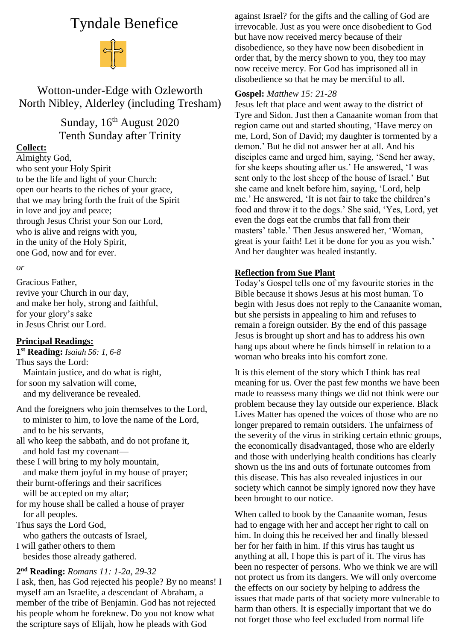# Tyndale Benefice



# Wotton-under-Edge with Ozleworth North Nibley, Alderley (including Tresham)

Sunday, 16<sup>th</sup> August 2020 Tenth Sunday after Trinity

# **Collect:**

Almighty God, who sent your Holy Spirit to be the life and light of your Church: open our hearts to the riches of your grace, that we may bring forth the fruit of the Spirit in love and joy and peace; through Jesus Christ your Son our Lord, who is alive and reigns with you, in the unity of the Holy Spirit, one God, now and for ever.

#### *or*

Gracious Father, revive your Church in our day, and make her holy, strong and faithful, for your glory's sake in Jesus Christ our Lord.

## **Principal Readings:**

**1 st Reading:** *Isaiah 56: 1, 6-8* Thus says the Lord: Maintain justice, and do what is right, for soon my salvation will come, and my deliverance be revealed.

- And the foreigners who join themselves to the Lord, to minister to him, to love the name of the Lord, and to be his servants,
- all who keep the sabbath, and do not profane it, and hold fast my covenant—
- these I will bring to my holy mountain, and make them joyful in my house of prayer; their burnt-offerings and their sacrifices

will be accepted on my altar;

- for my house shall be called a house of prayer for all peoples.
- Thus says the Lord God,

who gathers the outcasts of Israel,

I will gather others to them besides those already gathered.

### **2 nd Reading:** *Romans 11: 1-2a, 29-32*

I ask, then, has God rejected his people? By no means! I myself am an Israelite, a descendant of Abraham, a member of the tribe of Benjamin. God has not rejected his people whom he foreknew. Do you not know what the scripture says of Elijah, how he pleads with God

against Israel? for the gifts and the calling of God are irrevocable. Just as you were once disobedient to God but have now received mercy because of their disobedience, so they have now been disobedient in order that, by the mercy shown to you, they too may now receive mercy. For God has imprisoned all in disobedience so that he may be merciful to all.

## **Gospel:** *Matthew 15: 21-28*

Jesus left that place and went away to the district of Tyre and Sidon. Just then a Canaanite woman from that region came out and started shouting, 'Have mercy on me, Lord, Son of David; my daughter is tormented by a demon.' But he did not answer her at all. And his disciples came and urged him, saying, 'Send her away, for she keeps shouting after us.' He answered, 'I was sent only to the lost sheep of the house of Israel.' But she came and knelt before him, saying, 'Lord, help me.' He answered, 'It is not fair to take the children's food and throw it to the dogs.' She said, 'Yes, Lord, yet even the dogs eat the crumbs that fall from their masters' table.' Then Jesus answered her, 'Woman, great is your faith! Let it be done for you as you wish.' And her daughter was healed instantly.

### **Reflection from Sue Plant**

Today's Gospel tells one of my favourite stories in the Bible because it shows Jesus at his most human. To begin with Jesus does not reply to the Canaanite woman, but she persists in appealing to him and refuses to remain a foreign outsider. By the end of this passage Jesus is brought up short and has to address his own hang ups about where he finds himself in relation to a woman who breaks into his comfort zone.

It is this element of the story which I think has real meaning for us. Over the past few months we have been made to reassess many things we did not think were our problem because they lay outside our experience. Black Lives Matter has opened the voices of those who are no longer prepared to remain outsiders. The unfairness of the severity of the virus in striking certain ethnic groups, the economically disadvantaged, those who are elderly and those with underlying health conditions has clearly shown us the ins and outs of fortunate outcomes from this disease. This has also revealed injustices in our society which cannot be simply ignored now they have been brought to our notice.

When called to book by the Canaanite woman, Jesus had to engage with her and accept her right to call on him. In doing this he received her and finally blessed her for her faith in him. If this virus has taught us anything at all, I hope this is part of it. The virus has been no respecter of persons. Who we think we are will not protect us from its dangers. We will only overcome the effects on our society by helping to address the issues that made parts of that society more vulnerable to harm than others. It is especially important that we do not forget those who feel excluded from normal life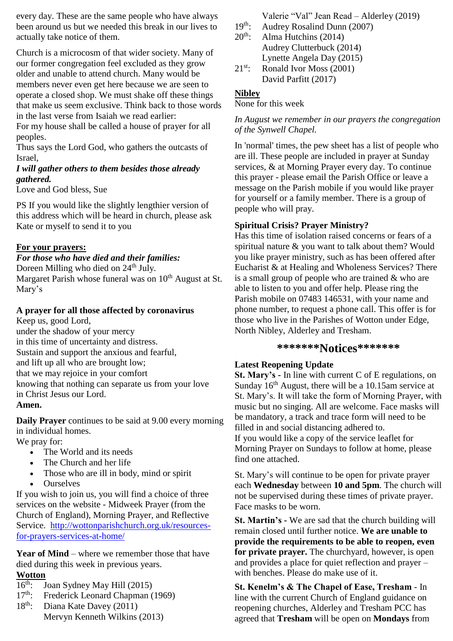every day. These are the same people who have always been around us but we needed this break in our lives to actually take notice of them.

Church is a microcosm of that wider society. Many of our former congregation feel excluded as they grow older and unable to attend church. Many would be members never even get here because we are seen to operate a closed shop. We must shake off these things that make us seem exclusive. Think back to those words in the last verse from Isaiah we read earlier:

For my house shall be called a house of prayer for all peoples.

Thus says the Lord God, who gathers the outcasts of Israel,

### *I will gather others to them besides those already gathered.*

Love and God bless, Sue

PS If you would like the slightly lengthier version of this address which will be heard in church, please ask Kate or myself to send it to you

#### **For your prayers:**

# *For those who have died and their families:*

Doreen Milling who died on 24<sup>th</sup> July. Margaret Parish whose funeral was on  $10<sup>th</sup>$  August at St. Mary's

### **A prayer for all those affected by coronavirus**

Keep us, good Lord, under the shadow of your mercy in this time of uncertainty and distress. Sustain and support the anxious and fearful, and lift up all who are brought low; that we may rejoice in your comfort knowing that nothing can separate us from your love in Christ Jesus our Lord.

### **Amen.**

**Daily Prayer** continues to be said at 9.00 every morning in individual homes.

We pray for:

- The World and its needs
- The Church and her life
- Those who are ill in body, mind or spirit
- Ourselves

If you wish to join us, you will find a choice of three services on the website - Midweek Prayer (from the Church of England), Morning Prayer, and Reflective Service. [http://wottonparishchurch.org.uk/resources](http://wottonparishchurch.org.uk/resources-for-prayers-services-at-home/)[for-prayers-services-at-home/](http://wottonparishchurch.org.uk/resources-for-prayers-services-at-home/)

Year of Mind – where we remember those that have died during this week in previous years. **Wotton**

- $16<sup>th</sup>$ : Joan Sydney May Hill (2015)
- 17<sup>th</sup>: Frederick Leonard Chapman (1969)
- 18<sup>th</sup>: Diana Kate Davey (2011) Mervyn Kenneth Wilkins (2013)

Valerie "Val" Jean Read – Alderley (2019)

- 19<sup>th</sup>: Audrey Rosalind Dunn (2007)<br>20<sup>th</sup>: Alma Hutchins (2014)
- Alma Hutchins (2014) Audrey Clutterbuck (2014) Lynette Angela Day (2015)  $21<sup>st</sup>$ : Ronald Ivor Moss (2001)

David Parfitt (2017)

# **Nibley**

# None for this week

## *In August we remember in our prayers the congregation of the Synwell Chapel.*

In 'normal' times, the pew sheet has a list of people who are ill. These people are included in prayer at Sunday services, & at Morning Prayer every day. To continue this prayer - please email the Parish Office or leave a message on the Parish mobile if you would like prayer for yourself or a family member. There is a group of people who will pray.

# **Spiritual Crisis? Prayer Ministry?**

Has this time of isolation raised concerns or fears of a spiritual nature & you want to talk about them? Would you like prayer ministry, such as has been offered after Eucharist & at Healing and Wholeness Services? There is a small group of people who are trained & who are able to listen to you and offer help. Please ring the Parish mobile on 07483 146531, with your name and phone number, to request a phone call. This offer is for those who live in the Parishes of Wotton under Edge, North Nibley, Alderley and Tresham.

# **\*\*\*\*\*\*\*Notices\*\*\*\*\*\*\***

# **Latest Reopening Update**

**St. Mary's -** In line with current C of E regulations, on Sunday  $16<sup>th</sup>$  August, there will be a 10.15am service at St. Mary's. It will take the form of Morning Prayer, with music but no singing. All are welcome. Face masks will be mandatory, a track and trace form will need to be filled in and social distancing adhered to. If you would like a copy of the service leaflet for

Morning Prayer on Sundays to follow at home, please find one attached.

St. Mary's will continue to be open for private prayer each **Wednesday** between **10 and 5pm**. The church will not be supervised during these times of private prayer. Face masks to be worn.

**St. Martin's -** We are sad that the church building will remain closed until further notice. **We are unable to provide the requirements to be able to reopen, even for private prayer.** The churchyard, however, is open and provides a place for quiet reflection and prayer – with benches. Please do make use of it.

**St. Kenelm's & The Chapel of Ease, Tresham** - In line with the current Church of England guidance on reopening churches, Alderley and Tresham PCC has agreed that **Tresham** will be open on **Mondays** from